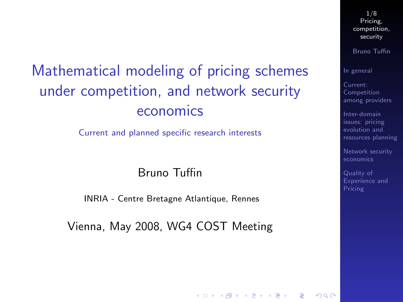# Mathematical modeling of pricing schemes under competition, and network security economics

Current and planned specific research interests

#### Bruno Tuffin

INRIA - Centre Bretagne Atlantique, Rennes

<span id="page-0-0"></span>Vienna, May 2008, WG4 COST Meeting

1/8 Pricing, [competition,](#page-7-0) security

Bruno Tuffin

[In general](#page-2-0)

Current: Competition [among providers](#page-3-0)

Inter-domain issues: pricing evolution and [resources planning](#page-5-0)

[Network security](#page-6-0)

Quality of [Experience and](#page-7-0) Pricing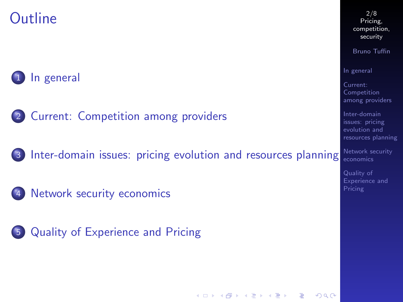## **Outline**



2 [Current: Competition among providers](#page-3-0)

3 [Inter-domain issues: pricing evolution and resources planning](#page-5-0)

[Network security economics](#page-6-0)

5 [Quality of Experience and Pricing](#page-7-0)

2/8 Pricing, [competition,](#page-0-0) security

Bruno Tuffin

[In general](#page-2-0)

Current: Competition [among providers](#page-3-0)

Inter-domain issues: pricing evolution and [resources planning](#page-5-0)

[Network security](#page-6-0)

Quality of [Experience and](#page-7-0) Pricing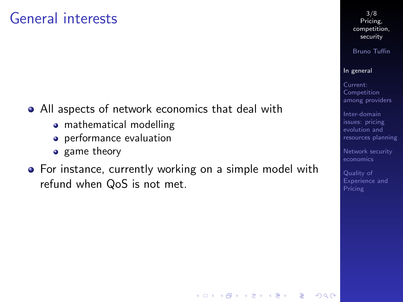## General interests

- All aspects of network economics that deal with
	- mathematical modelling
	- **•** performance evaluation
	- game theory
- <span id="page-2-0"></span>• For instance, currently working on a simple model with refund when QoS is not met.

3/8 Pricing, [competition,](#page-0-0) security

Bruno Tuffin

#### [In general](#page-2-0)

Current: Competition [among providers](#page-3-0)

Inter-domain issues: pricing evolution and [resources planning](#page-5-0)

[Network security](#page-6-0)

Quality of [Experience and](#page-7-0) Pricing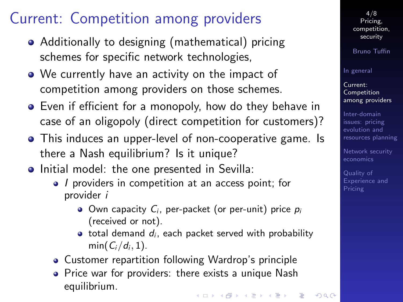# Current: Competition among providers

- Additionally to designing (mathematical) pricing schemes for specific network technologies,
- We currently have an activity on the impact of competition among providers on those schemes.
- Even if efficient for a monopoly, how do they behave in case of an oligopoly (direct competition for customers)?
- This induces an upper-level of non-cooperative game. Is there a Nash equilibrium? Is it unique?
- <span id="page-3-0"></span>• Initial model: the one presented in Sevilla:
	- I providers in competition at an access point; for provider i
		- $\bullet$  Own capacity  $C_i$ , per-packet (or per-unit) price  $p_i$ (received or not).
		- $\bullet$  total demand  $d_i$ , each packet served with probability  $min(C_i/d_i, 1)$ .
	- Customer repartition following Wardrop's principle
	- Price war for providers: there exists a unique Nash equilibrium.

Bruno Tuffin

[In general](#page-2-0)

Current: Competition [among providers](#page-3-0)

Inter-domain issues: pricing evolution and [resources planning](#page-5-0)

[Network security](#page-6-0)

Quality of [Experience and](#page-7-0) Pricing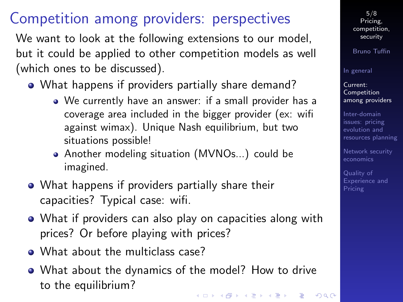# Competition among providers: perspectives

We want to look at the following extensions to our model, but it could be applied to other competition models as well (which ones to be discussed).

- What happens if providers partially share demand?
	- We currently have an answer: if a small provider has a coverage area included in the bigger provider (ex: wifi against wimax). Unique Nash equilibrium, but two situations possible!
	- Another modeling situation (MVNOs...) could be imagined.
- What happens if providers partially share their capacities? Typical case: wifi.
- What if providers can also play on capacities along with prices? Or before playing with prices?
- What about the multiclass case?
- What about the dynamics of the model? How to drive to the equilibrium?

5/8 Pricing, [competition,](#page-0-0) security

Bruno Tuffin

#### [In general](#page-2-0)

Current: Competition [among providers](#page-3-0)

Inter-domain issues: pricing evolution and [resources planning](#page-5-0)

[Network security](#page-6-0)

Quality of [Experience and](#page-7-0)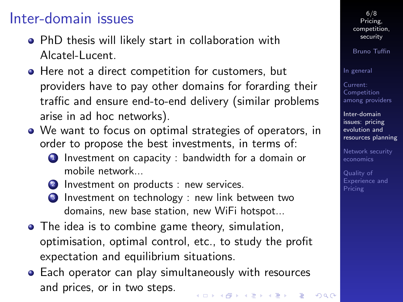## Inter-domain issues

- PhD thesis will likely start in collaboration with Alcatel-Lucent.
- **•** Here not a direct competition for customers, but providers have to pay other domains for forarding their traffic and ensure end-to-end delivery (similar problems arise in ad hoc networks).
- We want to focus on optimal strategies of operators, in order to propose the best investments, in terms of:
	- <sup>1</sup> Investment on capacity : bandwidth for a domain or mobile network...
	- 2 Investment on products : new services.
	- **3** Investment on technology : new link between two domains, new base station, new WiFi hotspot...
- The idea is to combine game theory, simulation, optimisation, optimal control, etc., to study the profit expectation and equilibrium situations.
- <span id="page-5-0"></span>Each operator can play simultaneously with resources and prices, or in two steps.

6/8 Pricing, [competition,](#page-0-0) security

Bruno Tuffin

[In general](#page-2-0)

Current: Competition [among providers](#page-3-0)

Inter-domain issues: pricing evolution and [resources planning](#page-5-0)

[Network security](#page-6-0)

Quality of [Experience and](#page-7-0) Pricing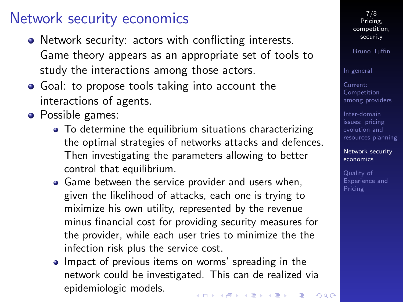### Network security economics

- Network security: actors with conflicting interests. Game theory appears as an appropriate set of tools to study the interactions among those actors.
- Goal: to propose tools taking into account the interactions of agents.
- <span id="page-6-0"></span>• Possible games:
	- To determine the equilibrium situations characterizing the optimal strategies of networks attacks and defences. Then investigating the parameters allowing to better control that equilibrium.
	- Game between the service provider and users when, given the likelihood of attacks, each one is trying to miximize his own utility, represented by the revenue minus financial cost for providing security measures for the provider, while each user tries to minimize the the infection risk plus the service cost.
	- Impact of previous items on worms' spreading in the network could be investigated. This can de realized via epidemiologic models.

7/8 Pricing, [competition,](#page-0-0) security

Bruno Tuffin

[In general](#page-2-0)

Current: Competition [among providers](#page-3-0)

Inter-domain issues: pricing evolution and [resources planning](#page-5-0)

[Network security](#page-6-0) economics

Quality of [Experience and](#page-7-0) Pricing